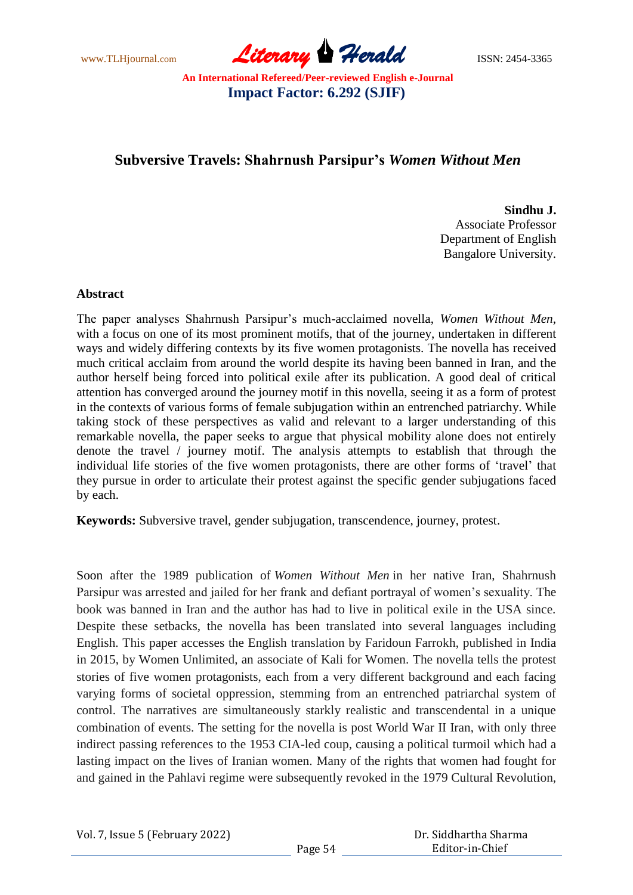www.TLHjournal.com **Literary Herald Herald ISSN: 2454-3365** 

# **Subversive Travels: Shahrnush Parsipur's** *Women Without Men*

**Sindhu J.** Associate Professor Department of English Bangalore University.

#### **Abstract**

The paper analyses Shahrnush Parsipur's much-acclaimed novella, *Women Without Men*, with a focus on one of its most prominent motifs, that of the journey, undertaken in different ways and widely differing contexts by its five women protagonists. The novella has received much critical acclaim from around the world despite its having been banned in Iran, and the author herself being forced into political exile after its publication. A good deal of critical attention has converged around the journey motif in this novella, seeing it as a form of protest in the contexts of various forms of female subjugation within an entrenched patriarchy. While taking stock of these perspectives as valid and relevant to a larger understanding of this remarkable novella, the paper seeks to argue that physical mobility alone does not entirely denote the travel / journey motif. The analysis attempts to establish that through the individual life stories of the five women protagonists, there are other forms of 'travel' that they pursue in order to articulate their protest against the specific gender subjugations faced by each.

**Keywords:** Subversive travel, gender subjugation, transcendence, journey, protest.

Soon after the 1989 publication of *Women Without Men* in her native Iran, Shahrnush Parsipur was arrested and jailed for her frank and defiant portrayal of women's sexuality. The book was banned in Iran and the author has had to live in political exile in the USA since. Despite these setbacks, the novella has been translated into several languages including English. This paper accesses the English translation by Faridoun Farrokh, published in India in 2015, by Women Unlimited, an associate of Kali for Women. The novella tells the protest stories of five women protagonists, each from a very different background and each facing varying forms of societal oppression, stemming from an entrenched patriarchal system of control. The narratives are simultaneously starkly realistic and transcendental in a unique combination of events. The setting for the novella is post World War II Iran, with only three indirect passing references to the 1953 CIA-led coup, causing a political turmoil which had a lasting impact on the lives of Iranian women. Many of the rights that women had fought for and gained in the Pahlavi regime were subsequently revoked in the 1979 Cultural Revolution,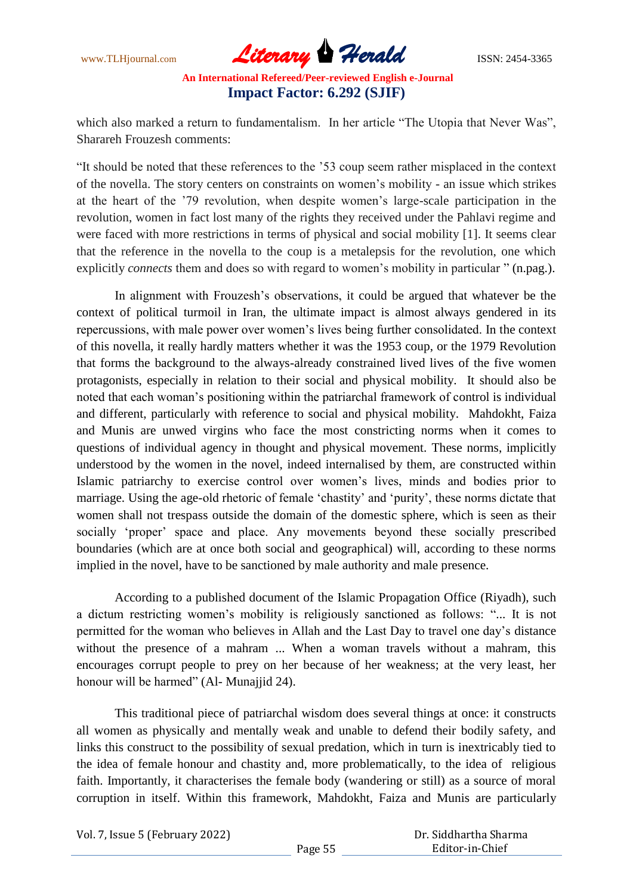www.TLHjournal.com **Literary Herald Herald ISSN: 2454-3365** 

which also marked a return to fundamentalism. In her article "The Utopia that Never Was", Sharareh Frouzesh comments:

―It should be noted that these references to the '53 coup seem rather misplaced in the context of the novella. The story centers on constraints on women's mobility - an issue which strikes at the heart of the '79 revolution, when despite women's large-scale participation in the revolution, women in fact lost many of the rights they received under the Pahlavi regime and were faced with more restrictions in terms of physical and social mobility [1]. It seems clear that the reference in the novella to the coup is a metalepsis for the revolution, one which explicitly *connects* them and does so with regard to women's mobility in particular " (n.pag.).

In alignment with Frouzesh's observations, it could be argued that whatever be the context of political turmoil in Iran, the ultimate impact is almost always gendered in its repercussions, with male power over women's lives being further consolidated. In the context of this novella, it really hardly matters whether it was the 1953 coup, or the 1979 Revolution that forms the background to the always-already constrained lived lives of the five women protagonists, especially in relation to their social and physical mobility. It should also be noted that each woman's positioning within the patriarchal framework of control is individual and different, particularly with reference to social and physical mobility. Mahdokht, Faiza and Munis are unwed virgins who face the most constricting norms when it comes to questions of individual agency in thought and physical movement. These norms, implicitly understood by the women in the novel, indeed internalised by them, are constructed within Islamic patriarchy to exercise control over women's lives, minds and bodies prior to marriage. Using the age-old rhetoric of female 'chastity' and 'purity', these norms dictate that women shall not trespass outside the domain of the domestic sphere, which is seen as their socially 'proper' space and place. Any movements beyond these socially prescribed boundaries (which are at once both social and geographical) will, according to these norms implied in the novel, have to be sanctioned by male authority and male presence.

According to a published document of the Islamic Propagation Office (Riyadh), such a dictum restricting women's mobility is religiously sanctioned as follows: "... It is not permitted for the woman who believes in Allah and the Last Day to travel one day's distance without the presence of a mahram ... When a woman travels without a mahram, this encourages corrupt people to prey on her because of her weakness; at the very least, her honour will be harmed" (Al- Munajjid 24).

This traditional piece of patriarchal wisdom does several things at once: it constructs all women as physically and mentally weak and unable to defend their bodily safety, and links this construct to the possibility of sexual predation, which in turn is inextricably tied to the idea of female honour and chastity and, more problematically, to the idea of religious faith. Importantly, it characterises the female body (wandering or still) as a source of moral corruption in itself. Within this framework, Mahdokht, Faiza and Munis are particularly

Vol. 7, Issue 5 (February 2022)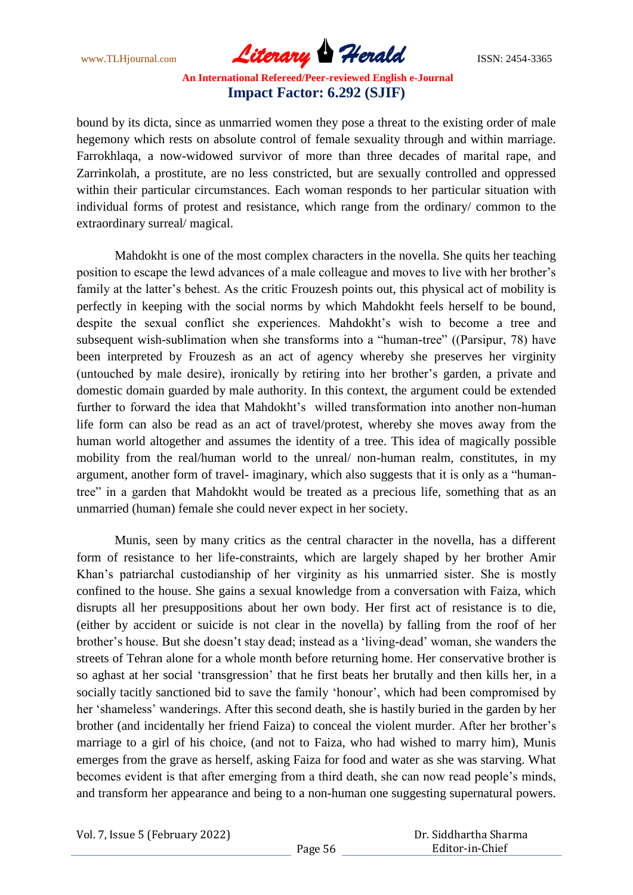www.TLHjournal.com **Literary Herald Herald ISSN: 2454-3365** 

bound by its dicta, since as unmarried women they pose a threat to the existing order of male hegemony which rests on absolute control of female sexuality through and within marriage. Farrokhlaqa, a now-widowed survivor of more than three decades of marital rape, and Zarrinkolah, a prostitute, are no less constricted, but are sexually controlled and oppressed within their particular circumstances. Each woman responds to her particular situation with individual forms of protest and resistance, which range from the ordinary/ common to the extraordinary surreal/ magical.

Mahdokht is one of the most complex characters in the novella. She quits her teaching position to escape the lewd advances of a male colleague and moves to live with her brother's family at the latter's behest. As the critic Frouzesh points out, this physical act of mobility is perfectly in keeping with the social norms by which Mahdokht feels herself to be bound, despite the sexual conflict she experiences. Mahdokht's wish to become a tree and subsequent wish-sublimation when she transforms into a "human-tree" ((Parsipur, 78) have been interpreted by Frouzesh as an act of agency whereby she preserves her virginity (untouched by male desire), ironically by retiring into her brother's garden, a private and domestic domain guarded by male authority. In this context, the argument could be extended further to forward the idea that Mahdokht's willed transformation into another non-human life form can also be read as an act of travel/protest, whereby she moves away from the human world altogether and assumes the identity of a tree. This idea of magically possible mobility from the real/human world to the unreal/ non-human realm, constitutes, in my argument, another form of travel- imaginary, which also suggests that it is only as a "humantree" in a garden that Mahdokht would be treated as a precious life, something that as an unmarried (human) female she could never expect in her society.

Munis, seen by many critics as the central character in the novella, has a different form of resistance to her life-constraints, which are largely shaped by her brother Amir Khan's patriarchal custodianship of her virginity as his unmarried sister. She is mostly confined to the house. She gains a sexual knowledge from a conversation with Faiza, which disrupts all her presuppositions about her own body. Her first act of resistance is to die, (either by accident or suicide is not clear in the novella) by falling from the roof of her brother's house. But she doesn't stay dead; instead as a 'living-dead' woman, she wanders the streets of Tehran alone for a whole month before returning home. Her conservative brother is so aghast at her social 'transgression' that he first beats her brutally and then kills her, in a socially tacitly sanctioned bid to save the family 'honour', which had been compromised by her 'shameless' wanderings. After this second death, she is hastily buried in the garden by her brother (and incidentally her friend Faiza) to conceal the violent murder. After her brother's marriage to a girl of his choice, (and not to Faiza, who had wished to marry him), Munis emerges from the grave as herself, asking Faiza for food and water as she was starving. What becomes evident is that after emerging from a third death, she can now read people's minds, and transform her appearance and being to a non-human one suggesting supernatural powers.

Vol. 7, Issue 5 (February 2022)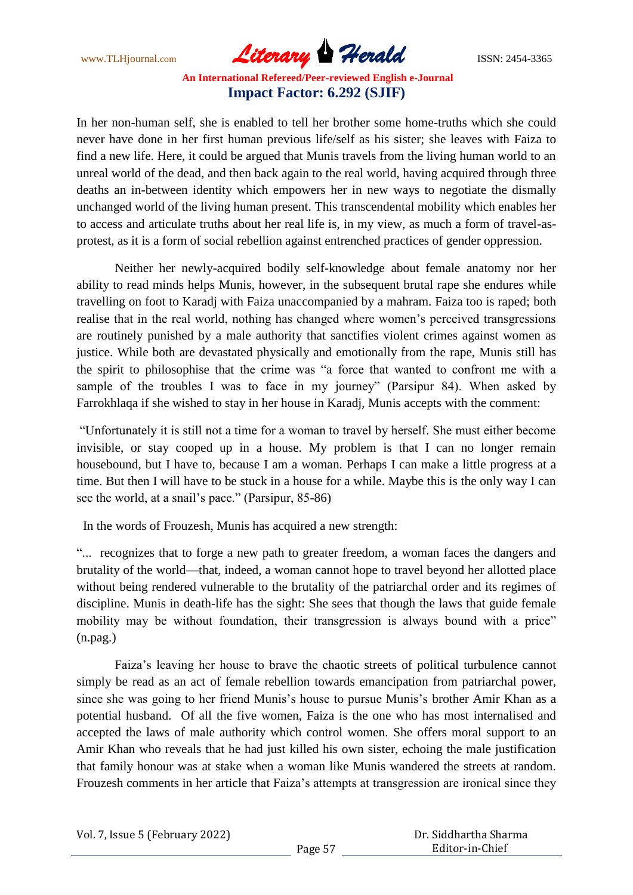www.TLHjournal.com **Literary Herald Herald ISSN: 2454-3365** 

In her non-human self, she is enabled to tell her brother some home-truths which she could never have done in her first human previous life/self as his sister; she leaves with Faiza to find a new life. Here, it could be argued that Munis travels from the living human world to an unreal world of the dead, and then back again to the real world, having acquired through three deaths an in-between identity which empowers her in new ways to negotiate the dismally unchanged world of the living human present. This transcendental mobility which enables her to access and articulate truths about her real life is, in my view, as much a form of travel-asprotest, as it is a form of social rebellion against entrenched practices of gender oppression.

Neither her newly-acquired bodily self-knowledge about female anatomy nor her ability to read minds helps Munis, however, in the subsequent brutal rape she endures while travelling on foot to Karadj with Faiza unaccompanied by a mahram. Faiza too is raped; both realise that in the real world, nothing has changed where women's perceived transgressions are routinely punished by a male authority that sanctifies violent crimes against women as justice. While both are devastated physically and emotionally from the rape, Munis still has the spirit to philosophise that the crime was "a force that wanted to confront me with a sample of the troubles I was to face in my journey" (Parsipur 84). When asked by Farrokhlaqa if she wished to stay in her house in Karadj, Munis accepts with the comment:

―Unfortunately it is still not a time for a woman to travel by herself. She must either become invisible, or stay cooped up in a house. My problem is that I can no longer remain housebound, but I have to, because I am a woman. Perhaps I can make a little progress at a time. But then I will have to be stuck in a house for a while. Maybe this is the only way I can see the world, at a snail's pace." (Parsipur, 85-86)

In the words of Frouzesh, Munis has acquired a new strength:

―... recognizes that to forge a new path to greater freedom, a woman faces the dangers and brutality of the world—that, indeed, a woman cannot hope to travel beyond her allotted place without being rendered vulnerable to the brutality of the patriarchal order and its regimes of discipline. Munis in death-life has the sight: She sees that though the laws that guide female mobility may be without foundation, their transgression is always bound with a price" (n.pag.)

Faiza's leaving her house to brave the chaotic streets of political turbulence cannot simply be read as an act of female rebellion towards emancipation from patriarchal power, since she was going to her friend Munis's house to pursue Munis's brother Amir Khan as a potential husband. Of all the five women, Faiza is the one who has most internalised and accepted the laws of male authority which control women. She offers moral support to an Amir Khan who reveals that he had just killed his own sister, echoing the male justification that family honour was at stake when a woman like Munis wandered the streets at random. Frouzesh comments in her article that Faiza's attempts at transgression are ironical since they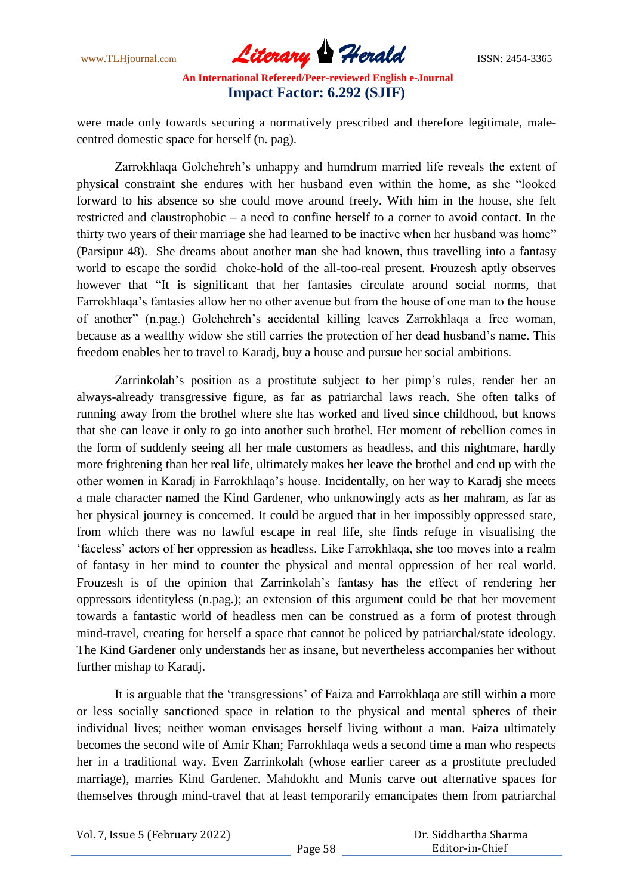www.TLHjournal.com **Literary Herald Herald ISSN: 2454-3365** 

were made only towards securing a normatively prescribed and therefore legitimate, malecentred domestic space for herself (n. pag).

Zarrokhlaqa Golchehreh's unhappy and humdrum married life reveals the extent of physical constraint she endures with her husband even within the home, as she "looked" forward to his absence so she could move around freely. With him in the house, she felt restricted and claustrophobic – a need to confine herself to a corner to avoid contact. In the thirty two years of their marriage she had learned to be inactive when her husband was home" (Parsipur 48). She dreams about another man she had known, thus travelling into a fantasy world to escape the sordid choke-hold of the all-too-real present. Frouzesh aptly observes however that "It is significant that her fantasies circulate around social norms, that Farrokhlaqa's fantasies allow her no other avenue but from the house of one man to the house of another‖ (n.pag.) Golchehreh's accidental killing leaves Zarrokhlaqa a free woman, because as a wealthy widow she still carries the protection of her dead husband's name. This freedom enables her to travel to Karadj, buy a house and pursue her social ambitions.

Zarrinkolah's position as a prostitute subject to her pimp's rules, render her an always-already transgressive figure, as far as patriarchal laws reach. She often talks of running away from the brothel where she has worked and lived since childhood, but knows that she can leave it only to go into another such brothel. Her moment of rebellion comes in the form of suddenly seeing all her male customers as headless, and this nightmare, hardly more frightening than her real life, ultimately makes her leave the brothel and end up with the other women in Karadj in Farrokhlaqa's house. Incidentally, on her way to Karadj she meets a male character named the Kind Gardener, who unknowingly acts as her mahram, as far as her physical journey is concerned. It could be argued that in her impossibly oppressed state, from which there was no lawful escape in real life, she finds refuge in visualising the ‗faceless' actors of her oppression as headless. Like Farrokhlaqa, she too moves into a realm of fantasy in her mind to counter the physical and mental oppression of her real world. Frouzesh is of the opinion that Zarrinkolah's fantasy has the effect of rendering her oppressors identityless (n.pag.); an extension of this argument could be that her movement towards a fantastic world of headless men can be construed as a form of protest through mind-travel, creating for herself a space that cannot be policed by patriarchal/state ideology. The Kind Gardener only understands her as insane, but nevertheless accompanies her without further mishap to Karadj.

It is arguable that the 'transgressions' of Faiza and Farrokhlaqa are still within a more or less socially sanctioned space in relation to the physical and mental spheres of their individual lives; neither woman envisages herself living without a man. Faiza ultimately becomes the second wife of Amir Khan; Farrokhlaqa weds a second time a man who respects her in a traditional way. Even Zarrinkolah (whose earlier career as a prostitute precluded marriage), marries Kind Gardener. Mahdokht and Munis carve out alternative spaces for themselves through mind-travel that at least temporarily emancipates them from patriarchal

Vol. 7, Issue 5 (February 2022)